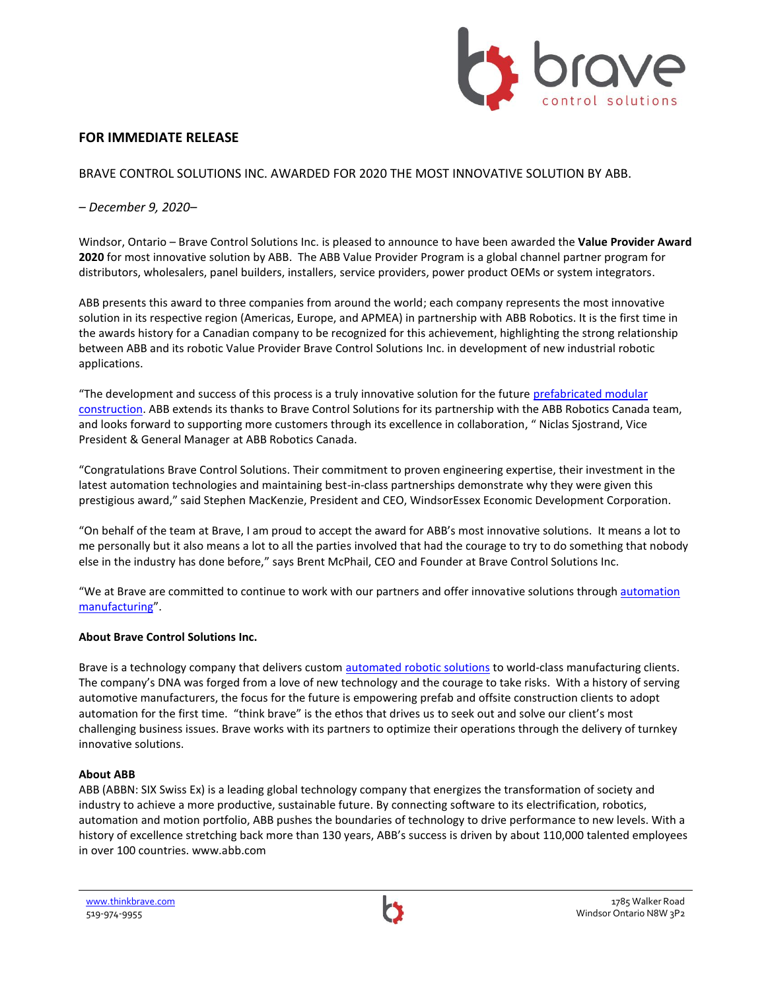

# **FOR IMMEDIATE RELEASE**

BRAVE CONTROL SOLUTIONS INC. AWARDED FOR 2020 THE MOST INNOVATIVE SOLUTION BY ABB.

## *– December 9, 2020–*

Windsor, Ontario – Brave Control Solutions Inc. is pleased to announce to have been awarded the **Value Provider Award 2020** for most innovative solution by ABB. The ABB Value Provider Program is a global [channel partner](https://new.abb.com/channel-partners/business) program for distributors, wholesalers, panel builders, installers, service providers, power product OEMs or system integrators.

ABB presents this award to three companies from around the world; each company represents the most innovative solution in its respective region (Americas, Europe, and APMEA) in partnership with ABB Robotics. It is the first time in the awards history for a Canadian company to be recognized for this achievement, highlighting the strong relationship between ABB and its robotic Value Provider Brave Control Solutions Inc. in development of new industrial robotic applications.

"The development and success of this process is a truly innovative solution for the future [prefabricated modular](https://www.bravecs.com/prefabrication/)  [construction.](https://www.bravecs.com/prefabrication/) ABB extends its thanks to Brave Control Solutions for its partnership with the ABB Robotics Canada team, and looks forward to supporting more customers through its excellence in collaboration, " Niclas Sjostrand, Vice President & General Manager at ABB Robotics Canada.

"Congratulations Brave Control Solutions. Their commitment to proven engineering expertise, their investment in the latest automation technologies and maintaining best-in-class partnerships demonstrate why they were given this prestigious award," said Stephen MacKenzie, President and CEO, WindsorEssex Economic Development Corporation.

"On behalf of the team at Brave, I am proud to accept the award for ABB's most innovative solutions. It means a lot to me personally but it also means a lot to all the parties involved that had the courage to try to do something that nobody else in the industry has done before," says Brent McPhail, CEO and Founder at Brave Control Solutions Inc.

"We at Brave are committed to continue to work with our partners and offer innovative solutions through automation [manufacturing](https://www.bravecs.com/)".

#### **About Brave Control Solutions Inc.**

Brave is a technology company that delivers custom [automated robotic solutions](https://www.bravecs.com/solutions/) to world-class manufacturing clients. The company's DNA was forged from a love of new technology and the courage to take risks. With a history of serving automotive manufacturers, the focus for the future is empowering prefab and offsite construction clients to adopt automation for the first time. "think brave" is the ethos that drives us to seek out and solve our client's most challenging business issues. Brave works with its partners to optimize their operations through the delivery of turnkey innovative solutions.

#### **About ABB**

ABB (ABBN: SIX Swiss Ex) is a leading global technology company that energizes the transformation of society and industry to achieve a more productive, sustainable future. By connecting software to its electrification, robotics, automation and motion portfolio, ABB pushes the boundaries of technology to drive performance to new levels. With a history of excellence stretching back more than 130 years, ABB's success is driven by about 110,000 talented employees in over 100 countries. www.abb.com